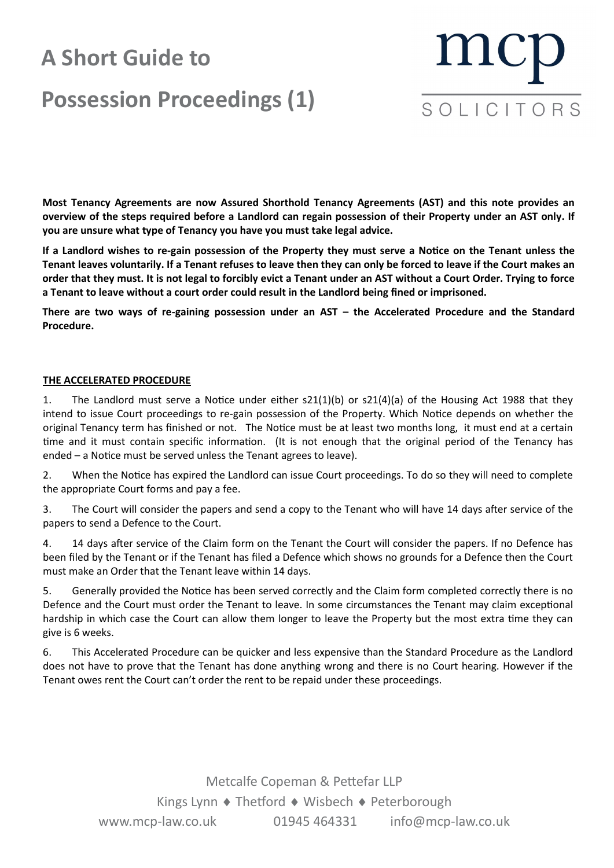# **A Short Guide to Possession Proceedings (1)**



**Most Tenancy Agreements are now Assured Shorthold Tenancy Agreements (AST) and this note provides an overview of the steps required before a Landlord can regain possession of their Property under an AST only. If you are unsure what type of Tenancy you have you must take legal advice.**

**If a Landlord wishes to re-gain possession of the Property they must serve a Notice on the Tenant unless the Tenant leaves voluntarily. If a Tenant refuses to leave then they can only be forced to leave if the Court makes an order that they must. It is not legal to forcibly evict a Tenant under an AST without a Court Order. Trying to force a Tenant to leave without a court order could result in the Landlord being fined or imprisoned.**

**There are two ways of re-gaining possession under an AST – the Accelerated Procedure and the Standard Procedure.**

### **THE ACCELERATED PROCEDURE**

1. The Landlord must serve a Notice under either s21(1)(b) or s21(4)(a) of the Housing Act 1988 that they intend to issue Court proceedings to re-gain possession of the Property. Which Notice depends on whether the original Tenancy term has finished or not. The Notice must be at least two months long, it must end at a certain time and it must contain specific information. (It is not enough that the original period of the Tenancy has ended – a Notice must be served unless the Tenant agrees to leave).

2. When the Notice has expired the Landlord can issue Court proceedings. To do so they will need to complete the appropriate Court forms and pay a fee.

3. The Court will consider the papers and send a copy to the Tenant who will have 14 days after service of the papers to send a Defence to the Court.

4. 14 days after service of the Claim form on the Tenant the Court will consider the papers. If no Defence has been filed by the Tenant or if the Tenant has filed a Defence which shows no grounds for a Defence then the Court must make an Order that the Tenant leave within 14 days.

5. Generally provided the Notice has been served correctly and the Claim form completed correctly there is no Defence and the Court must order the Tenant to leave. In some circumstances the Tenant may claim exceptional hardship in which case the Court can allow them longer to leave the Property but the most extra time they can give is 6 weeks.

6. This Accelerated Procedure can be quicker and less expensive than the Standard Procedure as the Landlord does not have to prove that the Tenant has done anything wrong and there is no Court hearing. However if the Tenant owes rent the Court can't order the rent to be repaid under these proceedings.

> Metcalfe Copeman & Pettefar LLP Kings Lynn ♦ Thetford ♦ Wisbech ♦ Peterborough www.mcp-law.co.uk 01945 464331 info@mcp-law.co.uk